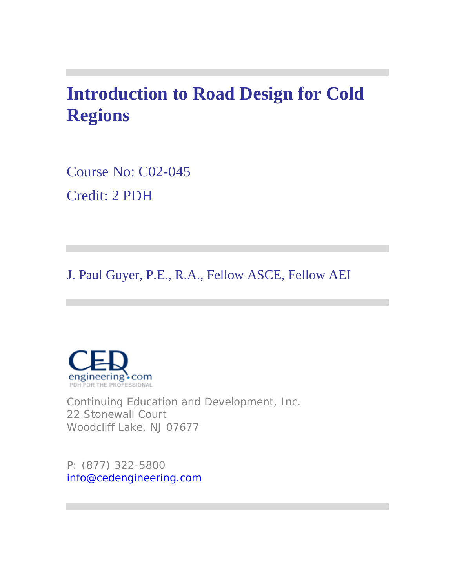# **Introduction to Road Design for Cold Regions**

Course No: C02-045 Credit: 2 PDH

J. Paul Guyer, P.E., R.A., Fellow ASCE, Fellow AEI



Continuing Education and Development, Inc. 22 Stonewall Court Woodcliff Lake, NJ 07677

P: (877) 322-5800 info@cedengineering.com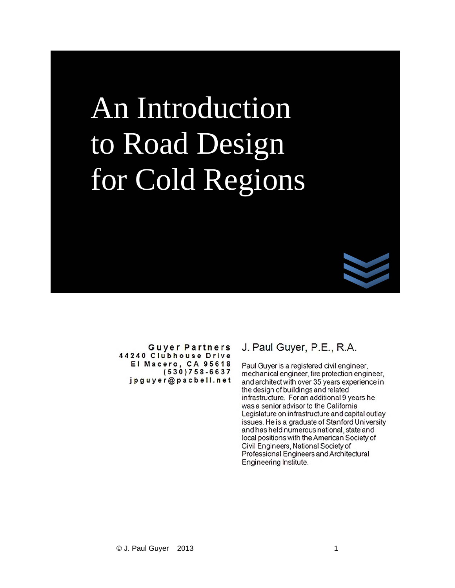# An Introduction to Road Design for Cold Regions



**Guyer Partners** 44240 Clubhouse Drive El Macero, CA 95618<br>(530)758-6637 jpguyer@pacbell.net

#### J. Paul Guyer, P.E., R.A.

Paul Guyer is a registered civil engineer, mechanical engineer, fire protection engineer, and architect with over 35 years experience in the design of buildings and related infrastructure. For an additional 9 years he was a senior advisor to the California Legislature on infrastructure and capital outlay issues. He is a graduate of Stanford University and has held numerous national, state and local positions with the American Society of Civil Engineers, National Society of Professional Engineers and Architectural Engineering Institute.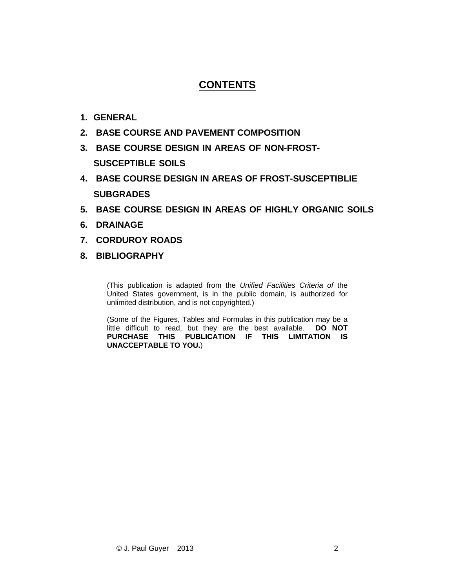## **CONTENTS**

- **1. GENERAL**
- **2. BASE COURSE AND PAVEMENT COMPOSITION**
- **3. BASE COURSE DESIGN IN AREAS OF NON-FROST-SUSCEPTIBLE SOILS**
- **4. BASE COURSE DESIGN IN AREAS OF FROST-SUSCEPTIBLIE SUBGRADES**
- **5. BASE COURSE DESIGN IN AREAS OF HIGHLY ORGANIC SOILS**
- **6. DRAINAGE**
- **7. CORDUROY ROADS**
- **8. BIBLIOGRAPHY**

(This publication is adapted from the *Unified Facilities Criteria of* the United States government, is in the public domain, is authorized for unlimited distribution, and is not copyrighted.)

(Some of the Figures, Tables and Formulas in this publication may be a little difficult to read, but they are the best available. **DO NOT PURCHASE THIS PUBLICATION IF THIS LIMITATION IS UNACCEPTABLE TO YOU.**)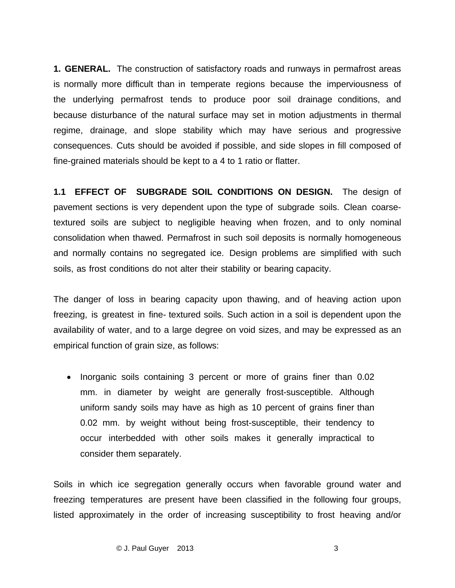**1. GENERAL.** The construction of satisfactory roads and runways in permafrost areas is normally more difficult than in temperate regions because the imperviousness of the underlying permafrost tends to produce poor soil drainage conditions, and because disturbance of the natural surface may set in motion adjustments in thermal regime, drainage, and slope stability which may have serious and progressive consequences. Cuts should be avoided if possible, and side slopes in fill composed of fine-grained materials should be kept to a 4 to 1 ratio or flatter.

**1.1 EFFECT OF SUBGRADE SOIL CONDITIONS ON DESIGN.** The design of pavement sections is very dependent upon the type of subgrade soils. Clean coarsetextured soils are subject to negligible heaving when frozen, and to only nominal consolidation when thawed. Permafrost in such soil deposits is normally homogeneous and normally contains no segregated ice. Design problems are simplified with such soils, as frost conditions do not alter their stability or bearing capacity.

The danger of loss in bearing capacity upon thawing, and of heaving action upon freezing, is greatest in fine- textured soils. Such action in a soil is dependent upon the availability of water, and to a large degree on void sizes, and may be expressed as an empirical function of grain size, as follows:

• Inorganic soils containing 3 percent or more of grains finer than 0.02 mm. in diameter by weight are generally frost-susceptible. Although uniform sandy soils may have as high as 10 percent of grains finer than 0.02 mm. by weight without being frost-susceptible, their tendency to occur interbedded with other soils makes it generally impractical to consider them separately.

Soils in which ice segregation generally occurs when favorable ground water and freezing temperatures are present have been classified in the following four groups, listed approximately in the order of increasing susceptibility to frost heaving and/or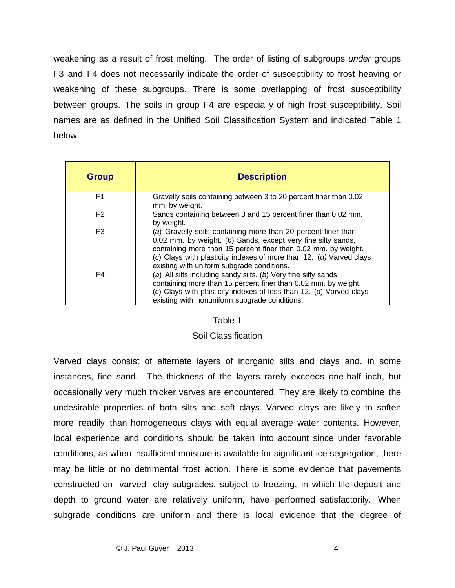weakening as a result of frost melting. The order of listing of subgroups *under* groups F3 and F4 does not necessarily indicate the order of susceptibility to frost heaving or weakening of these subgroups. There is some overlapping of frost susceptibility between groups. The soils in group F4 are especially of high frost susceptibility. Soil names are as defined in the Unified Soil Classification System and indicated Table 1 below.

| <b>Group</b>   | <b>Description</b>                                                                                                                                                                                                                                                                                                   |
|----------------|----------------------------------------------------------------------------------------------------------------------------------------------------------------------------------------------------------------------------------------------------------------------------------------------------------------------|
| F1             | Gravelly soils containing between 3 to 20 percent finer than 0.02<br>mm. by weight.                                                                                                                                                                                                                                  |
| F <sub>2</sub> | Sands containing between 3 and 15 percent finer than 0.02 mm.<br>by weight.                                                                                                                                                                                                                                          |
| F3             | (a) Gravelly soils containing more than 20 percent finer than<br>0.02 mm. by weight. (b) Sands, except very fine silty sands,<br>containing more than 15 percent finer than 0.02 mm. by weight.<br>(c) Clays with plasticity indexes of more than 12. (d) Varved clays<br>existing with uniform subgrade conditions. |
| F4             | (a) All silts including sandy silts. (b) Very fine silty sands<br>containing more than 15 percent finer than 0.02 mm. by weight.<br>(c) Clays with plasticity indexes of less than 12. (d) Varved clays<br>existing with nonuniform subgrade conditions.                                                             |

#### Table 1

#### Soil Classification

Varved clays consist of alternate layers of inorganic silts and clays and, in some instances, fine sand. The thickness of the layers rarely exceeds one-half inch, but occasionally very much thicker varves are encountered. They are likely to combine the undesirable properties of both silts and soft clays. Varved clays are likely to soften more readily than homogeneous clays with equal average water contents. However, local experience and conditions should be taken into account since under favorable conditions, as when insufficient moisture is available for significant ice segregation, there may be little or no detrimental frost action. There is some evidence that pavements constructed on varved clay subgrades, subject to freezing, in which tile deposit and depth to ground water are relatively uniform, have performed satisfactorily. When subgrade conditions are uniform and there is local evidence that the degree of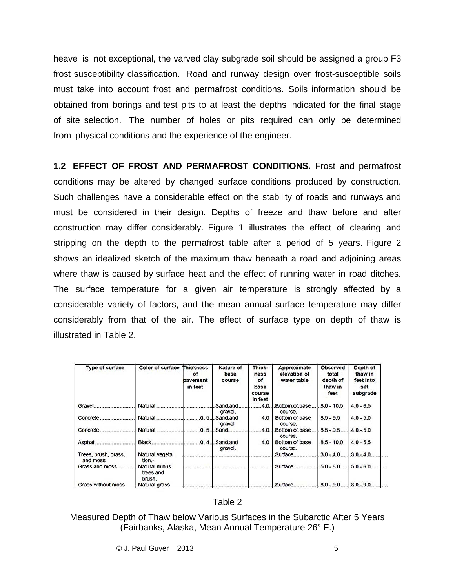heave is not exceptional, the varved clay subgrade soil should be assigned a group F3 frost susceptibility classification. Road and runway design over frost-susceptible soils must take into account frost and permafrost conditions. Soils information should be obtained from borings and test pits to at least the depths indicated for the final stage of site selection. The number of holes or pits required can only be determined from physical conditions and the experience of the engineer.

**1.2 EFFECT OF FROST AND PERMAFROST CONDITIONS.** Frost and permafrost conditions may be altered by changed surface conditions produced by construction. Such challenges have a considerable effect on the stability of roads and runways and must be considered in their design. Depths of freeze and thaw before and after construction may differ considerably. Figure 1 illustrates the effect of clearing and stripping on the depth to the permafrost table after a period of 5 years. Figure 2 shows an idealized sketch of the maximum thaw beneath a road and adjoining areas where thaw is caused by surface heat and the effect of running water in road ditches. The surface temperature for a given air temperature is strongly affected by a considerable variety of factors, and the mean annual surface temperature may differ considerably from that of the air. The effect of surface type on depth of thaw is illustrated in Table 2.

| <b>Type of surface</b>           | <b>Color of surface Thickness</b>           | ٥f<br>bavement<br>in feet | Nature of<br>base<br>course  | Thick-<br>ness<br>οf<br>base<br>course<br>in feet | Approximate<br>elevation of<br>water table | Observed<br>total<br>depth of<br>thaw in<br>feet | Depth of<br>thaw in<br>feet into<br>silt<br>subgrade |
|----------------------------------|---------------------------------------------|---------------------------|------------------------------|---------------------------------------------------|--------------------------------------------|--------------------------------------------------|------------------------------------------------------|
| Gravel                           |                                             |                           | .Sand.and.<br>gravel.        | 4.0.                                              | .Bottom.of.base<br>course.                 | $.80 - 10.5$                                     | $4.0 - 6.5$                                          |
| Concrete                         |                                             |                           | $.0.5.$ Sand.and<br>gravel   | 4.0                                               | Bottom of base<br>course.                  | $8.5 - 9.5$                                      | $4.0 - 5.0$                                          |
|                                  | Natural                                     |                           | .0.5. Sand                   | 4.0.1                                             | .Bottom.of.base.<br>course.                | $.8.5 - .9.5.$                                   | $4.0 - 5.0$                                          |
| Asphalt                          | <b>Black</b>                                |                           | $.0.4$ . Sand and<br>gravel. | 4.0                                               | Bottom of base<br>course.                  | $8.5 - 10.0$                                     | $4.0 - 5.5$                                          |
| Trees, brush, grass,<br>and moss | Natural vegeta<br>tion.-                    |                           |                              |                                                   | Surface.                                   | $.3.0 - A.0.$                                    | $3.0 - 4.0$                                          |
| Grass and moss                   | <b>Natural minus</b><br>trees and<br>brush. |                           |                              |                                                   | Surface                                    | $.5.0 - 6.0.$                                    | $.5.0 - 6.0.$                                        |
| <b>Grass without moss</b>        | <b>Natural grass</b>                        |                           |                              |                                                   | Surface                                    | $.80 - .90$                                      | $.8.0 - .9.0$                                        |

#### Table 2

Measured Depth of Thaw below Various Surfaces in the Subarctic After 5 Years (Fairbanks, Alaska, Mean Annual Temperature 26° F.)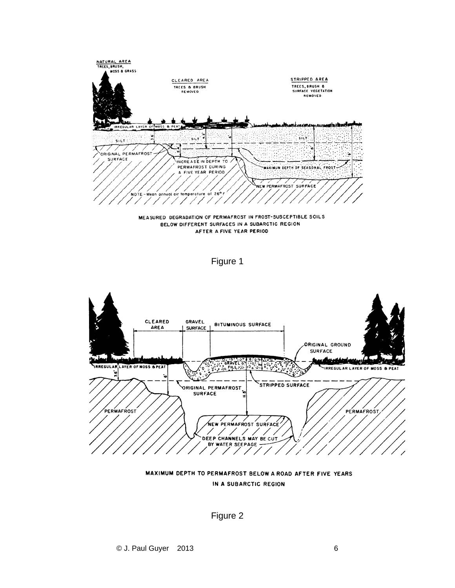







MAXIMUM DEPTH TO PERMAFROST BELOW A ROAD AFTER FIVE YEARS IN A SUBARCTIC REGION

Figure 2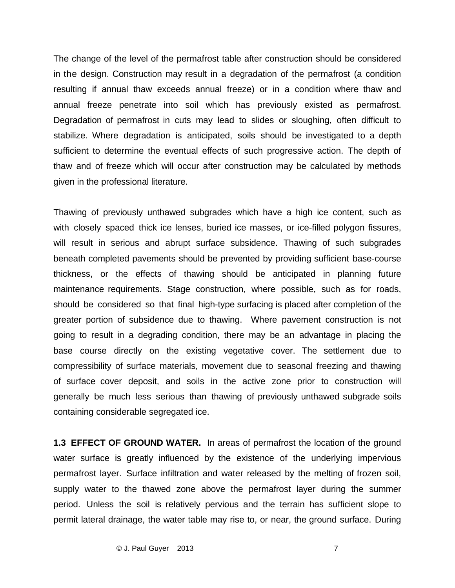The change of the level of the permafrost table after construction should be considered in the design. Construction may result in a degradation of the permafrost (a condition resulting if annual thaw exceeds annual freeze) or in a condition where thaw and annual freeze penetrate into soil which has previously existed as permafrost. Degradation of permafrost in cuts may lead to slides or sloughing, often difficult to stabilize. Where degradation is anticipated, soils should be investigated to a depth sufficient to determine the eventual effects of such progressive action. The depth of thaw and of freeze which will occur after construction may be calculated by methods given in the professional literature.

Thawing of previously unthawed subgrades which have a high ice content, such as with closely spaced thick ice lenses, buried ice masses, or ice-filled polygon fissures, will result in serious and abrupt surface subsidence. Thawing of such subgrades beneath completed pavements should be prevented by providing sufficient base-course thickness, or the effects of thawing should be anticipated in planning future maintenance requirements. Stage construction, where possible, such as for roads, should be considered so that final high-type surfacing is placed after completion of the greater portion of subsidence due to thawing. Where pavement construction is not going to result in a degrading condition, there may be an advantage in placing the base course directly on the existing vegetative cover. The settlement due to compressibility of surface materials, movement due to seasonal freezing and thawing of surface cover deposit, and soils in the active zone prior to construction will generally be much less serious than thawing of previously unthawed subgrade soils containing considerable segregated ice.

**1.3 EFFECT OF GROUND WATER.** In areas of permafrost the location of the ground water surface is greatly influenced by the existence of the underlying impervious permafrost layer. Surface infiltration and water released by the melting of frozen soil, supply water to the thawed zone above the permafrost layer during the summer period. Unless the soil is relatively pervious and the terrain has sufficient slope to permit lateral drainage, the water table may rise to, or near, the ground surface. During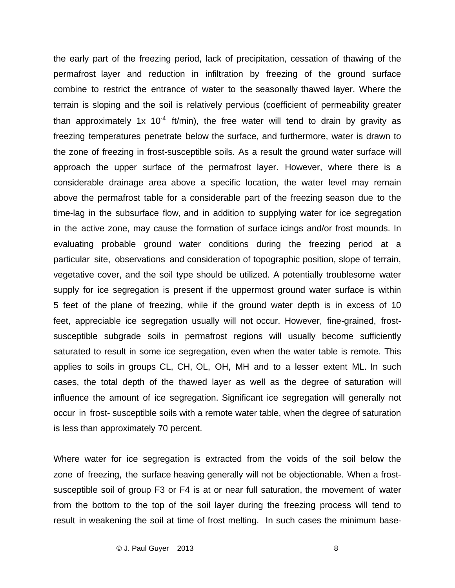the early part of the freezing period, lack of precipitation, cessation of thawing of the permafrost layer and reduction in infiltration by freezing of the ground surface combine to restrict the entrance of water to the seasonally thawed layer. Where the terrain is sloping and the soil is relatively pervious (coefficient of permeability greater than approximately 1x 10<sup>-4</sup> ft/min), the free water will tend to drain by gravity as freezing temperatures penetrate below the surface, and furthermore, water is drawn to the zone of freezing in frost-susceptible soils. As a result the ground water surface will approach the upper surface of the permafrost layer. However, where there is a considerable drainage area above a specific location, the water level may remain above the permafrost table for a considerable part of the freezing season due to the time-lag in the subsurface flow, and in addition to supplying water for ice segregation in the active zone, may cause the formation of surface icings and/or frost mounds. In evaluating probable ground water conditions during the freezing period at a particular site, observations and consideration of topographic position, slope of terrain, vegetative cover, and the soil type should be utilized. A potentially troublesome water supply for ice segregation is present if the uppermost ground water surface is within 5 feet of the plane of freezing, while if the ground water depth is in excess of 10 feet, appreciable ice segregation usually will not occur. However, fine-grained, frostsusceptible subgrade soils in permafrost regions will usually become sufficiently saturated to result in some ice segregation, even when the water table is remote. This applies to soils in groups CL, CH, OL, OH, MH and to a lesser extent ML. In such cases, the total depth of the thawed layer as well as the degree of saturation will influence the amount of ice segregation. Significant ice segregation will generally not occur in frost- susceptible soils with a remote water table, when the degree of saturation is less than approximately 70 percent.

Where water for ice segregation is extracted from the voids of the soil below the zone of freezing, the surface heaving generally will not be objectionable. When a frostsusceptible soil of group F3 or F4 is at or near full saturation, the movement of water from the bottom to the top of the soil layer during the freezing process will tend to result in weakening the soil at time of frost melting. In such cases the minimum base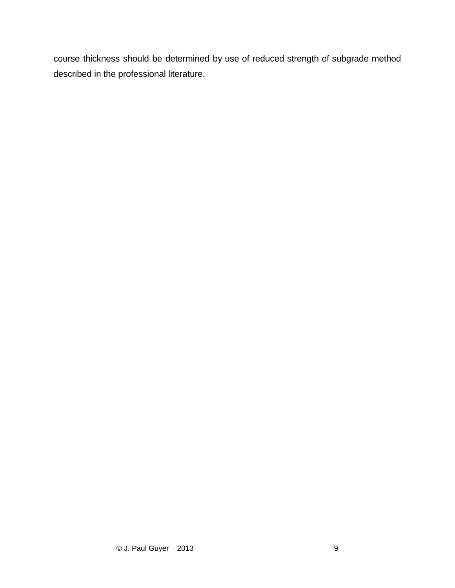course thickness should be determined by use of reduced strength of subgrade method described in the professional literature.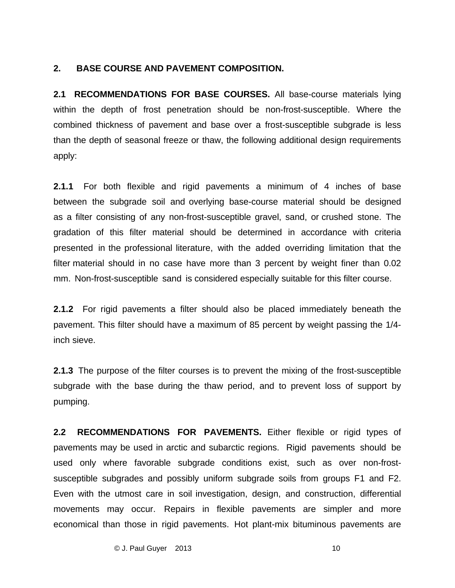#### **2. BASE COURSE AND PAVEMENT COMPOSITION.**

**2.1 RECOMMENDATIONS FOR BASE COURSES.** All base-course materials lying within the depth of frost penetration should be non-frost-susceptible. Where the combined thickness of pavement and base over a frost-susceptible subgrade is less than the depth of seasonal freeze or thaw, the following additional design requirements apply:

**2.1.1** For both flexible and rigid pavements a minimum of 4 inches of base between the subgrade soil and overlying base-course material should be designed as a filter consisting of any non-frost-susceptible gravel, sand, or crushed stone. The gradation of this filter material should be determined in accordance with criteria presented in the professional literature, with the added overriding limitation that the filter material should in no case have more than 3 percent by weight finer than 0.02 mm. Non-frost-susceptible sand is considered especially suitable for this filter course.

**2.1.2** For rigid pavements a filter should also be placed immediately beneath the pavement. This filter should have a maximum of 85 percent by weight passing the 1/4 inch sieve.

**2.1.3** The purpose of the filter courses is to prevent the mixing of the frost-susceptible subgrade with the base during the thaw period, and to prevent loss of support by pumping.

**2.2 RECOMMENDATIONS FOR PAVEMENTS.** Either flexible or rigid types of pavements may be used in arctic and subarctic regions. Rigid pavements should be used only where favorable subgrade conditions exist, such as over non-frostsusceptible subgrades and possibly uniform subgrade soils from groups F1 and F2. Even with the utmost care in soil investigation, design, and construction, differential movements may occur. Repairs in flexible pavements are simpler and more economical than those in rigid pavements. Hot plant-mix bituminous pavements are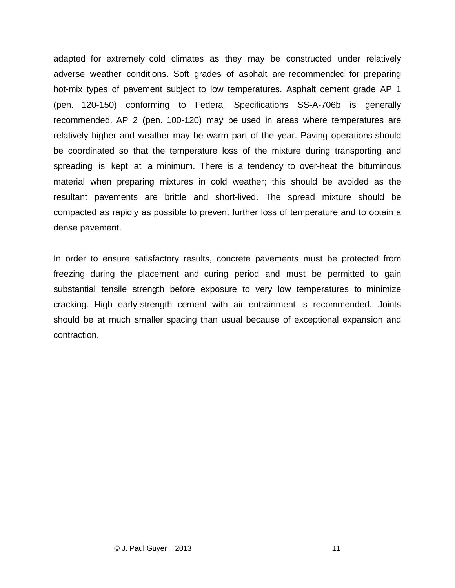adapted for extremely cold climates as they may be constructed under relatively adverse weather conditions. Soft grades of asphalt are recommended for preparing hot-mix types of pavement subject to low temperatures. Asphalt cement grade AP 1 (pen. 120-150) conforming to Federal Specifications SS-A-706b is generally recommended. AP 2 (pen. 100-120) may be used in areas where temperatures are relatively higher and weather may be warm part of the year. Paving operations should be coordinated so that the temperature loss of the mixture during transporting and spreading is kept at a minimum. There is a tendency to over-heat the bituminous material when preparing mixtures in cold weather; this should be avoided as the resultant pavements are brittle and short-lived. The spread mixture should be compacted as rapidly as possible to prevent further loss of temperature and to obtain a dense pavement.

In order to ensure satisfactory results, concrete pavements must be protected from freezing during the placement and curing period and must be permitted to gain substantial tensile strength before exposure to very low temperatures to minimize cracking. High early-strength cement with air entrainment is recommended. Joints should be at much smaller spacing than usual because of exceptional expansion and contraction.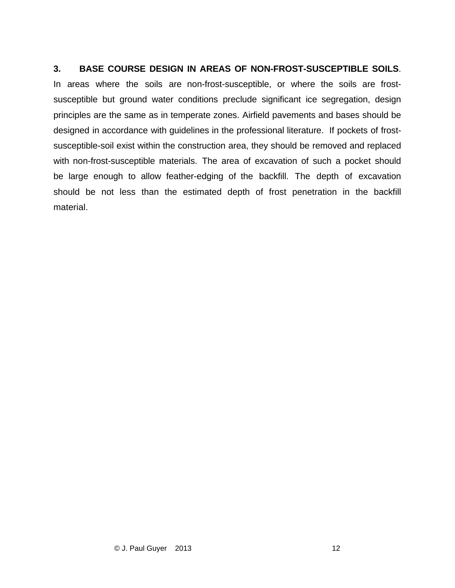#### **3. BASE COURSE DESIGN IN AREAS OF NON-FROST-SUSCEPTIBLE SOILS**.

In areas where the soils are non-frost-susceptible, or where the soils are frostsusceptible but ground water conditions preclude significant ice segregation, design principles are the same as in temperate zones. Airfield pavements and bases should be designed in accordance with guidelines in the professional literature. If pockets of frostsusceptible-soil exist within the construction area, they should be removed and replaced with non-frost-susceptible materials. The area of excavation of such a pocket should be large enough to allow feather-edging of the backfill. The depth of excavation should be not less than the estimated depth of frost penetration in the backfill material.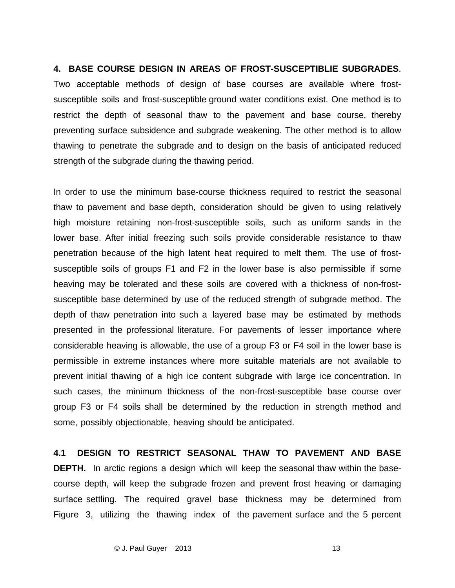#### **4. BASE COURSE DESIGN IN AREAS OF FROST-SUSCEPTIBLIE SUBGRADES**.

Two acceptable methods of design of base courses are available where frostsusceptible soils and frost-susceptible ground water conditions exist. One method is to restrict the depth of seasonal thaw to the pavement and base course, thereby preventing surface subsidence and subgrade weakening. The other method is to allow thawing to penetrate the subgrade and to design on the basis of anticipated reduced strength of the subgrade during the thawing period.

In order to use the minimum base-course thickness required to restrict the seasonal thaw to pavement and base depth, consideration should be given to using relatively high moisture retaining non-frost-susceptible soils, such as uniform sands in the lower base. After initial freezing such soils provide considerable resistance to thaw penetration because of the high latent heat required to melt them. The use of frostsusceptible soils of groups F1 and F2 in the lower base is also permissible if some heaving may be tolerated and these soils are covered with a thickness of non-frostsusceptible base determined by use of the reduced strength of subgrade method. The depth of thaw penetration into such a layered base may be estimated by methods presented in the professional literature. For pavements of lesser importance where considerable heaving is allowable, the use of a group F3 or F4 soil in the lower base is permissible in extreme instances where more suitable materials are not available to prevent initial thawing of a high ice content subgrade with large ice concentration. In such cases, the minimum thickness of the non-frost-susceptible base course over group F3 or F4 soils shall be determined by the reduction in strength method and some, possibly objectionable, heaving should be anticipated.

**4.1 DESIGN TO RESTRICT SEASONAL THAW TO PAVEMENT AND BASE DEPTH.** In arctic regions a design which will keep the seasonal thaw within the basecourse depth, will keep the subgrade frozen and prevent frost heaving or damaging surface settling. The required gravel base thickness may be determined from Figure 3, utilizing the thawing index of the pavement surface and the 5 percent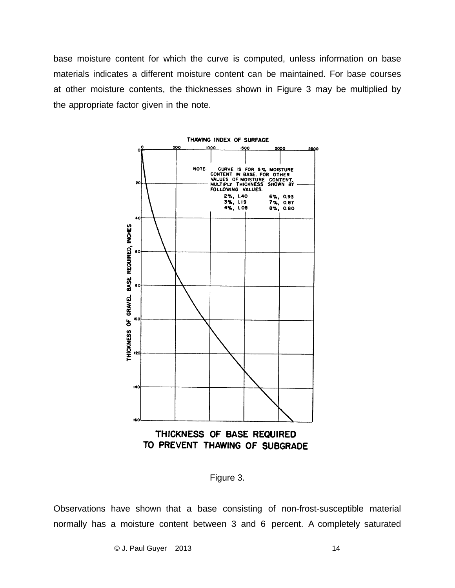base moisture content for which the curve is computed, unless information on base materials indicates a different moisture content can be maintained. For base courses at other moisture contents, the thicknesses shown in Figure 3 may be multiplied by the appropriate factor given in the note.



Figure 3.

Observations have shown that a base consisting of non-frost-susceptible material normally has a moisture content between 3 and 6 percent. A completely saturated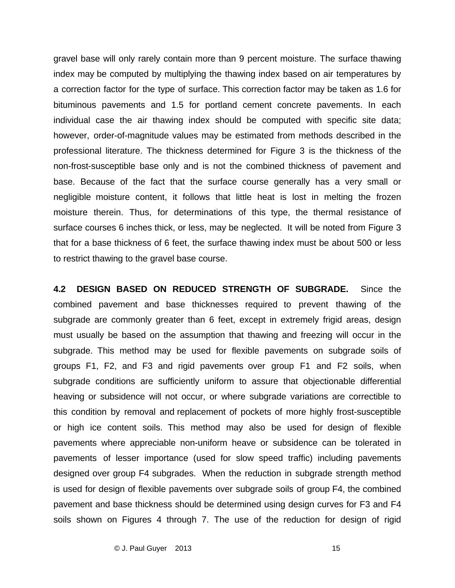gravel base will only rarely contain more than 9 percent moisture. The surface thawing index may be computed by multiplying the thawing index based on air temperatures by a correction factor for the type of surface. This correction factor may be taken as 1.6 for bituminous pavements and 1.5 for portland cement concrete pavements. In each individual case the air thawing index should be computed with specific site data; however, order-of-magnitude values may be estimated from methods described in the professional literature. The thickness determined for Figure 3 is the thickness of the non-frost-susceptible base only and is not the combined thickness of pavement and base. Because of the fact that the surface course generally has a very small or negligible moisture content, it follows that little heat is lost in melting the frozen moisture therein. Thus, for determinations of this type, the thermal resistance of surface courses 6 inches thick, or less, may be neglected. It will be noted from Figure 3 that for a base thickness of 6 feet, the surface thawing index must be about 500 or less to restrict thawing to the gravel base course.

**4.2 DESIGN BASED ON REDUCED STRENGTH OF SUBGRADE.** Since the combined pavement and base thicknesses required to prevent thawing of the subgrade are commonly greater than 6 feet, except in extremely frigid areas, design must usually be based on the assumption that thawing and freezing will occur in the subgrade. This method may be used for flexible pavements on subgrade soils of groups F1, F2, and F3 and rigid pavements over group F1 and F2 soils, when subgrade conditions are sufficiently uniform to assure that objectionable differential heaving or subsidence will not occur, or where subgrade variations are correctible to this condition by removal and replacement of pockets of more highly frost-susceptible or high ice content soils. This method may also be used for design of flexible pavements where appreciable non-uniform heave or subsidence can be tolerated in pavements of lesser importance (used for slow speed traffic) including pavements designed over group F4 subgrades. When the reduction in subgrade strength method is used for design of flexible pavements over subgrade soils of group F4, the combined pavement and base thickness should be determined using design curves for F3 and F4 soils shown on Figures 4 through 7. The use of the reduction for design of rigid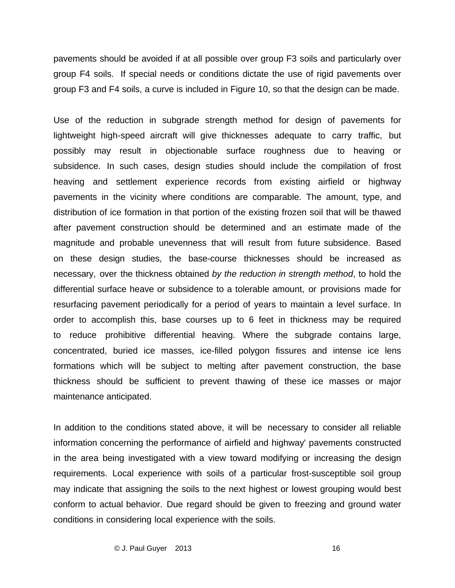pavements should be avoided if at all possible over group F3 soils and particularly over group F4 soils. If special needs or conditions dictate the use of rigid pavements over group F3 and F4 soils, a curve is included in Figure 10, so that the design can be made.

Use of the reduction in subgrade strength method for design of pavements for lightweight high-speed aircraft will give thicknesses adequate to carry traffic, but possibly may result in objectionable surface roughness due to heaving or subsidence. In such cases, design studies should include the compilation of frost heaving and settlement experience records from existing airfield or highway pavements in the vicinity where conditions are comparable. The amount, type, and distribution of ice formation in that portion of the existing frozen soil that will be thawed after pavement construction should be determined and an estimate made of the magnitude and probable unevenness that will result from future subsidence. Based on these design studies, the base-course thicknesses should be increased as necessary, over the thickness obtained *by the reduction in strength method*, to hold the differential surface heave or subsidence to a tolerable amount, or provisions made for resurfacing pavement periodically for a period of years to maintain a level surface. In order to accomplish this, base courses up to 6 feet in thickness may be required to reduce prohibitive differential heaving. Where the subgrade contains large, concentrated, buried ice masses, ice-filled polygon fissures and intense ice lens formations which will be subject to melting after pavement construction, the base thickness should be sufficient to prevent thawing of these ice masses or major maintenance anticipated.

In addition to the conditions stated above, it will be necessary to consider all reliable information concerning the performance of airfield and highway' pavements constructed in the area being investigated with a view toward modifying or increasing the design requirements. Local experience with soils of a particular frost-susceptible soil group may indicate that assigning the soils to the next highest or lowest grouping would best conform to actual behavior. Due regard should be given to freezing and ground water conditions in considering local experience with the soils.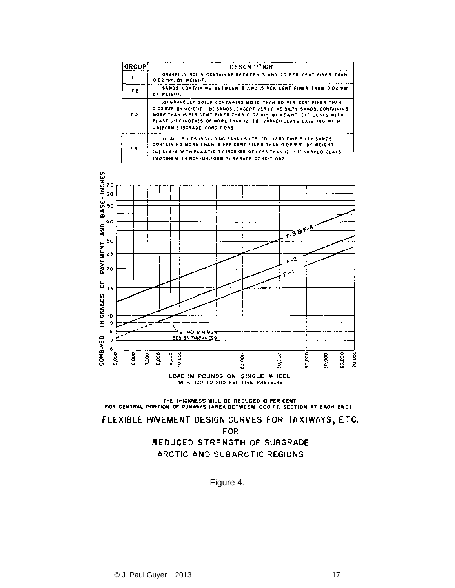| <b>GROUP</b>   | <b>DESCRIPTION</b>                                                                                                                                                                                                                                                                                                     |
|----------------|------------------------------------------------------------------------------------------------------------------------------------------------------------------------------------------------------------------------------------------------------------------------------------------------------------------------|
| ŦТ.            | GRAVELLY SOILS CONTAINING BETWEEN 3 AND 20 PER CENT FINER THAN<br><b>0.02 mm. BY WEIGHT.</b>                                                                                                                                                                                                                           |
| F <sub>2</sub> | SANDS CONTAINING BETWEEN 3 AND IS PER CENT FINER THAN 0.02 mm.<br>BY WEIGHT.                                                                                                                                                                                                                                           |
| F3             | (G) GRAVELLY SOILS CONTAINING MORE THAN 20 PER CENT FINER THAN<br>O D2 mm. BY WEIGHT. (b) SANDS, EXCEPT VERY FINE SILTY SANDS, CONTAINING<br>MORE THAN IS PER CENT FINER THAN 0.02 mm, by WEIGHT. (C) CLAYS WITH<br>PLASTICITY INDEXES OF MORE THAN IZ. (d) VARVED CLAYS EXISTING WITH<br>UNIFORM SUBGRADE CONDITIONS. |
| F 4            | IG) ALL SILTS INCLUDING SANDY SILTS. ID I VERY FINE SILTY SANDS<br>CONTAINING MORE THAN 15 PER CENT FINER THAN 0.02 MM. BY WEIGHT.<br><b>ICE CLAYS WITH PLASTICITY INDEXES OF LESS THAN 12. (d) VARVED CLAYS</b><br>EXISTING WITH NON-UNIFORM SUBGRADE CONDITIONS.                                                     |



LOAD IN POUNDS ON SINGLE WHEEL WITH 100 TO 200 PSI TIRE PRESSURE

THE THICKNESS WILL BE REDUCED IO PER CENT FOR CENTRAL PORTION OF RUNWAYS (AREA BETWEEN 1000 FT. SECTION AT EACH END)

FLEXIBLE PAVEMENT DESIGN CURVES FOR TAXIWAYS, ETC.

**FOR** 

### REDUCED STRENGTH OF SUBGRADE ARCTIC AND SUBARCTIC REGIONS

Figure 4.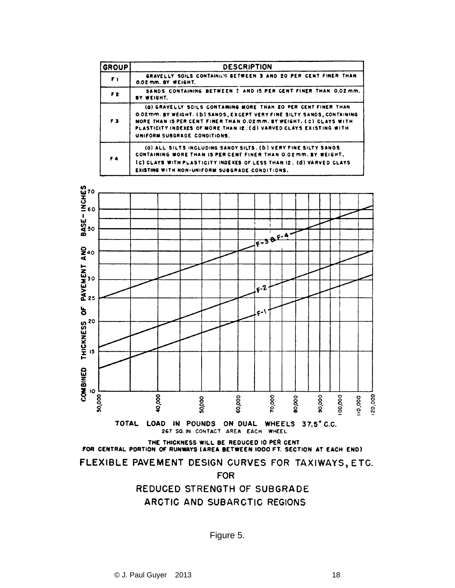| <b>GROUP</b>   | <b>DESCRIPTION</b>                                                                                                                                                                                                                                                                                                            |  |  |  |  |
|----------------|-------------------------------------------------------------------------------------------------------------------------------------------------------------------------------------------------------------------------------------------------------------------------------------------------------------------------------|--|--|--|--|
| F <sub>1</sub> | GRAVELLY SOILS CONTAINING BETWEEN 3 AND 20 PER CENT FINER THAN<br>0.02 mm. BY WEIGHT.                                                                                                                                                                                                                                         |  |  |  |  |
| F <sub>2</sub> | SANDS CONTAINING BETWEEN ? AND IS PER CENT FINER THAN 0.02 mm.<br>BY WEIGHT.                                                                                                                                                                                                                                                  |  |  |  |  |
| F <sub>3</sub> | (Q) GRAVELLY SOILS CONTAINING MORE THAN 20 PER CENT FINER THAN<br><b>0.02mm. BY WEIGHT. (b) SANDS, EXCEPT VERY FINE SILTY SANDS, CONTAINING</b><br>MORE THAN IS PER CENT FINER THAN 0.02 mm. BY WEIGHT. ( C) CLAYS WITH<br>PLASTICITY INDEXES OF MORE THAN I2. (d) VARVED CLAYS EXISTING WITH<br>UNIFORM SUBGRADE CONDITIONS. |  |  |  |  |
| F4             | (0) ALL SILTS INCLUDING SANDY SILTS, (b) VERY FINE SILTY SANDS<br>CONTAINING MORE THAN IS PER CENT FINER THAN 0.02 mm. BY WEIGHT.<br>(C) CLAYS WITH PLASTICITY INDEXES OF LESS THAN 12, (d) VARVED CLAYS<br>EXISTING WITH NON-UNIFORM SUBGRADE CONDITIONS.                                                                    |  |  |  |  |



THE THICKNESS WILL BE REDUCED IO PER CENT FOR CENTRAL PORTION OF RUNWAYS (AREA BETWEEN 1000 FT. SECTION AT EACH END)

FLEXIBLE PAVEMENT DESIGN CURVES FOR TAXIWAYS, ETC.

**FOR** 

REDUCED STRENGTH OF SUBGRADE ARCTIC AND SUBARCTIC REGIONS

Figure 5.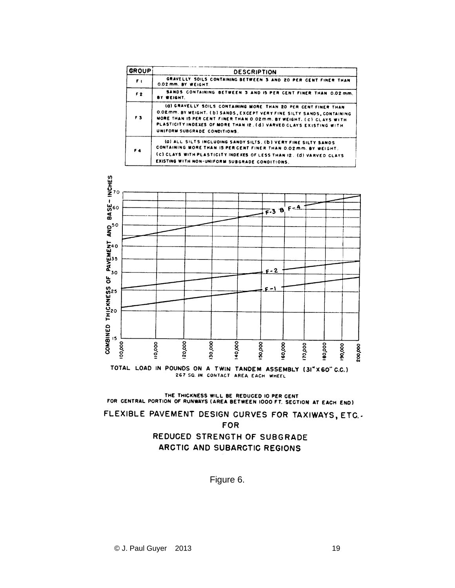| <b>GROUP</b>   | <b>DESCRIPTION</b>                                                                                                                                                                                                                                                                                                           |
|----------------|------------------------------------------------------------------------------------------------------------------------------------------------------------------------------------------------------------------------------------------------------------------------------------------------------------------------------|
| ŦГ             | GRAVELLY SOILS CONTAINING BETWEEN 3 AND 20 PER CENT FINER THAN<br>0.02 mm. BY WEIGHT.                                                                                                                                                                                                                                        |
| F <sub>2</sub> | SANDS CONTAINING BETWEEN 3 AND IS PER CENT FINER THAN 0.02 mm.<br>BY WEIGHT.                                                                                                                                                                                                                                                 |
| F <sub>3</sub> | (G) GRAVELLY SOILS CONTAINING MORE THAN 20 PER CENT FINER THAN<br><b>O.ORMM. BY WEIGHT. (b) SANDS, EXCEPT VERY FINE SILTY SANDS, CONTAINING</b><br>MORE THAN IS PER CENT FINER THAN 0.02mm. BY WEIGHT. ( C) CLAYS WITH<br>PLASTICITY INDEXES OF MORE THAN I2. (d) VARVED CLAYS EXISTING WITH<br>UNIFORM SUBGRADE CONDITIONS. |
| F4             | (0) ALL SILTS INCLUDING SANDY SILTS. (b) VERY FINE SILTY SANDS<br>CONTAINING MORE THAN IS PER CENT FINER THAN 0.02 mm. BY WEIGHT.<br>(c) CLAYS WITH PLASTICITY INDEXES OF LESS THAN 12. (d) VARVED CLAYS<br>EXISTING WITH NON-UNIFORM SUBGRADE CONDITIONS.                                                                   |



THE THICKNESS WILL BE REDUCED IO PER CENT<br>FOR CENTRAL PORTION OF RUNWAYS (AREA BETWEEN 1000 FT. SECTION AT EACH END)

FLEXIBLE PAVEMENT DESIGN CURVES FOR TAXIWAYS, ETC. **FOR** 

> REDUCED STRENGTH OF SUBGRADE ARCTIC AND SUBARCTIC REGIONS

> > Figure 6.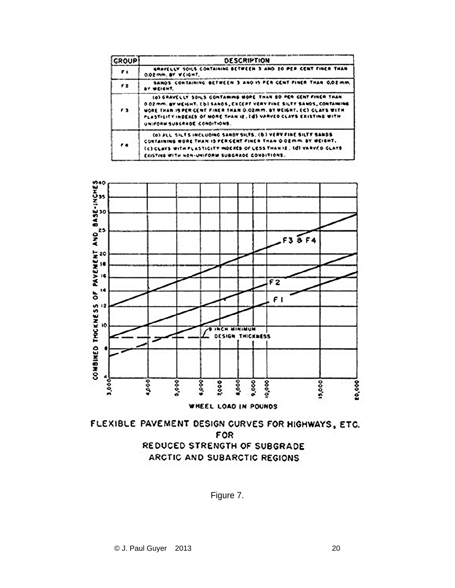| <b>GROUP</b>  | <b>DESCRIPTION</b>                                                                                                                                                                                                                                                                                                   |
|---------------|----------------------------------------------------------------------------------------------------------------------------------------------------------------------------------------------------------------------------------------------------------------------------------------------------------------------|
| $\cdot$       | GRAVELLY SOILS CONTAINING BETWEEN 3 AND 20 PER CENT FINER THAN<br>0.02 mm. BY WEIGHT.                                                                                                                                                                                                                                |
| $^{\prime}$ 2 | SANDS CONTAINING BETWEEN 3 AND IS PER CENT FINER THAN 0.02 mm.<br>BY WEIGHT.                                                                                                                                                                                                                                         |
| "             | IO) GRAVELLY SOILS CONTAMING MORE THAN 20 PER CENT FINER THAN<br>0.02 mm, BY WEIGHT, (b) SANOS, EXCEPT VERY FINE SILTY SANOS, CONTAINING<br>MORE THAN IS PER GENT FINER THAN 0.02mm. BY WEIGHT, EC) GLAYS WITH<br>PLASTICITY INDEXES OF MORE THAN IZ, Ed) VARVED CLAYS EXISTING WITH<br>UNIFORM SUBGRADE CONDITIONS. |
| 74            | (0) ALL SILES INCLUDING SANDY SILES. (D) VERY FINE SILEY SANDS<br>CONTAINING NORE THAN IS PERCENT FINER THAN O.OZMM. BY WEIGHT.<br>CC) CLAYS WITH PLASTICITY INDEKES OF LESS THAN IZ. (d) VARVED CLAYS<br>EXISTING WITH NON-UNIFORM SUBGRADE CONDITIONS.                                                             |





Figure 7.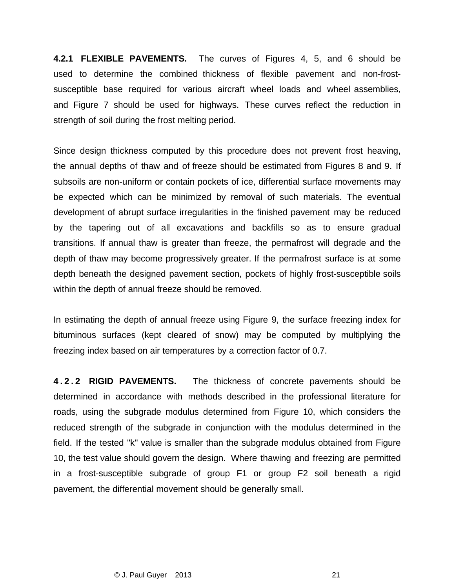**4.2.1 FLEXIBLE PAVEMENTS.** The curves of Figures 4, 5, and 6 should be used to determine the combined thickness of flexible pavement and non-frostsusceptible base required for various aircraft wheel loads and wheel assemblies, and Figure 7 should be used for highways. These curves reflect the reduction in strength of soil during the frost melting period.

Since design thickness computed by this procedure does not prevent frost heaving, the annual depths of thaw and of freeze should be estimated from Figures 8 and 9. If subsoils are non-uniform or contain pockets of ice, differential surface movements may be expected which can be minimized by removal of such materials. The eventual development of abrupt surface irregularities in the finished pavement may be reduced by the tapering out of all excavations and backfills so as to ensure gradual transitions. If annual thaw is greater than freeze, the permafrost will degrade and the depth of thaw may become progressively greater. If the permafrost surface is at some depth beneath the designed pavement section, pockets of highly frost-susceptible soils within the depth of annual freeze should be removed.

In estimating the depth of annual freeze using Figure 9, the surface freezing index for bituminous surfaces (kept cleared of snow) may be computed by multiplying the freezing index based on air temperatures by a correction factor of 0.7.

**4 . 2 . 2 RIGID PAVEMENTS.** The thickness of concrete pavements should be determined in accordance with methods described in the professional literature for roads, using the subgrade modulus determined from Figure 10, which considers the reduced strength of the subgrade in conjunction with the modulus determined in the field. If the tested "k" value is smaller than the subgrade modulus obtained from Figure 10, the test value should govern the design. Where thawing and freezing are permitted in a frost-susceptible subgrade of group F1 or group F2 soil beneath a rigid pavement, the differential movement should be generally small.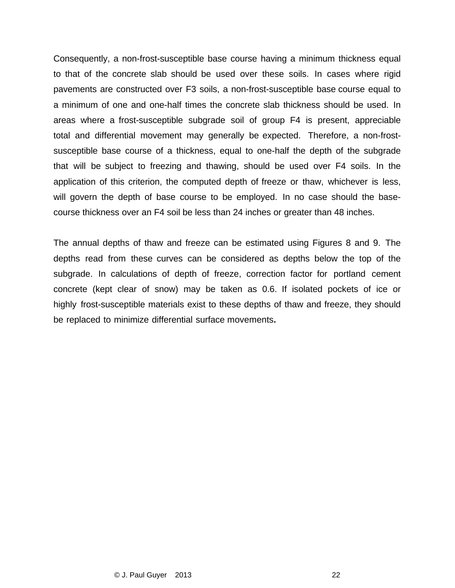Consequently, a non-frost-susceptible base course having a minimum thickness equal to that of the concrete slab should be used over these soils. In cases where rigid pavements are constructed over F3 soils, a non-frost-susceptible base course equal to a minimum of one and one-half times the concrete slab thickness should be used. In areas where a frost-susceptible subgrade soil of group F4 is present, appreciable total and differential movement may generally be expected. Therefore, a non-frostsusceptible base course of a thickness, equal to one-half the depth of the subgrade that will be subject to freezing and thawing, should be used over F4 soils. In the application of this criterion, the computed depth of freeze or thaw, whichever is less, will govern the depth of base course to be employed. In no case should the basecourse thickness over an F4 soil be less than 24 inches or greater than 48 inches.

The annual depths of thaw and freeze can be estimated using Figures 8 and 9. The depths read from these curves can be considered as depths below the top of the subgrade. In calculations of depth of freeze, correction factor for portland cement concrete (kept clear of snow) may be taken as 0.6. If isolated pockets of ice or highly frost-susceptible materials exist to these depths of thaw and freeze, they should be replaced to minimize differential surface movements**.**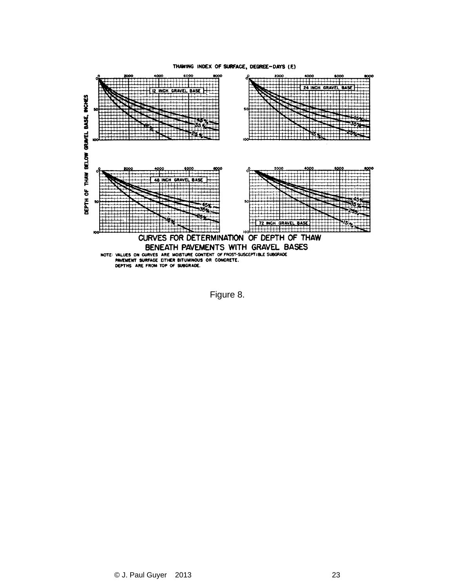#### THAWING INDEX OF SURFACE, DEGREE-DAYS (F)



Figure 8.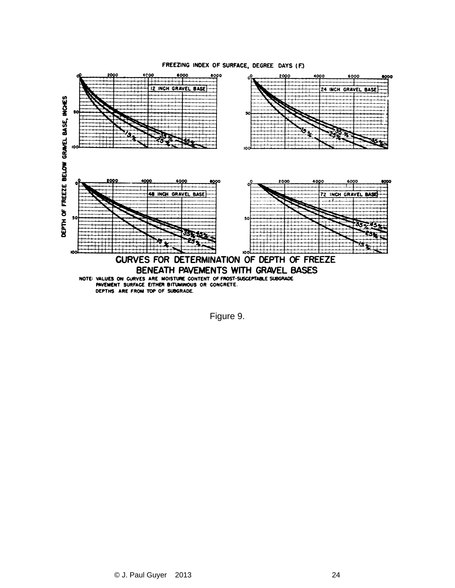

#### FREEZING INDEX OF SURFACE, DEGREE DAYS (F.)

Figure 9.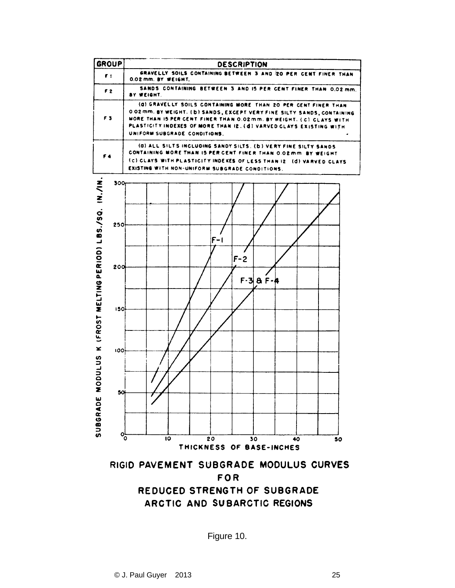

Figure 10.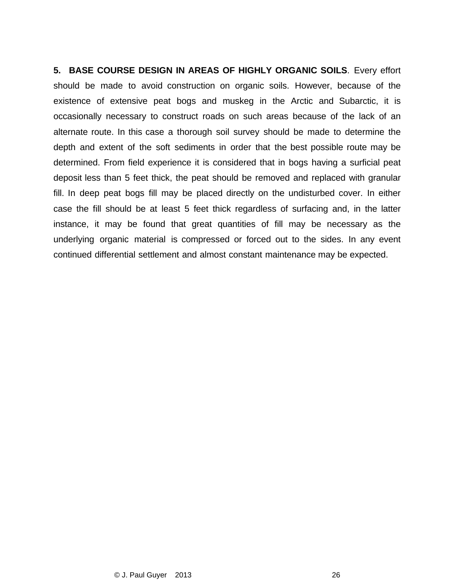**5. BASE COURSE DESIGN IN AREAS OF HIGHLY ORGANIC SOILS**. Every effort should be made to avoid construction on organic soils. However, because of the existence of extensive peat bogs and muskeg in the Arctic and Subarctic, it is occasionally necessary to construct roads on such areas because of the lack of an alternate route. In this case a thorough soil survey should be made to determine the depth and extent of the soft sediments in order that the best possible route may be determined. From field experience it is considered that in bogs having a surficial peat deposit less than 5 feet thick, the peat should be removed and replaced with granular fill. In deep peat bogs fill may be placed directly on the undisturbed cover. In either case the fill should be at least 5 feet thick regardless of surfacing and, in the latter instance, it may be found that great quantities of fill may be necessary as the underlying organic material is compressed or forced out to the sides. In any event continued differential settlement and almost constant maintenance may be expected.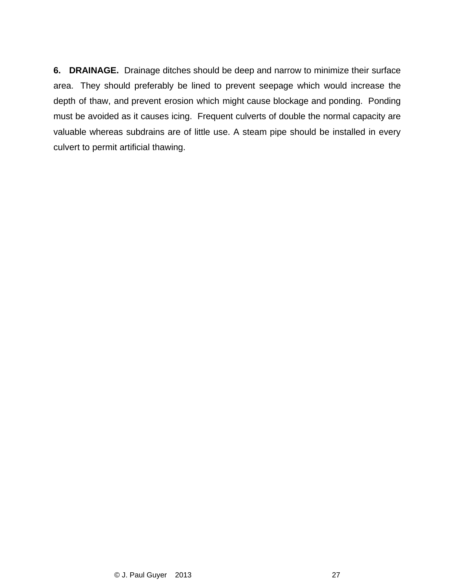**6. DRAINAGE.** Drainage ditches should be deep and narrow to minimize their surface area. They should preferably be lined to prevent seepage which would increase the depth of thaw, and prevent erosion which might cause blockage and ponding. Ponding must be avoided as it causes icing. Frequent culverts of double the normal capacity are valuable whereas subdrains are of little use. A steam pipe should be installed in every culvert to permit artificial thawing.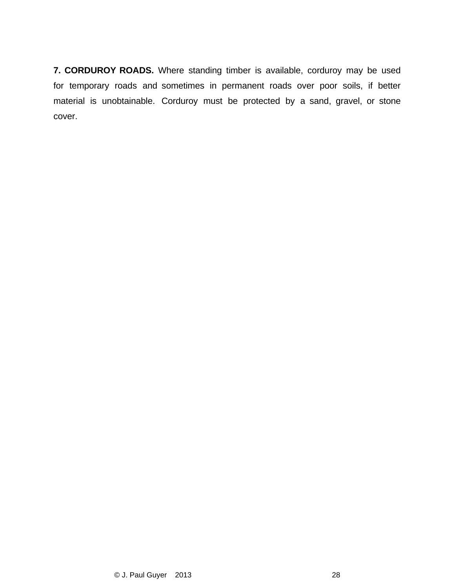**7. CORDUROY ROADS.** Where standing timber is available, corduroy may be used for temporary roads and sometimes in permanent roads over poor soils, if better material is unobtainable. Corduroy must be protected by a sand, gravel, or stone cover.